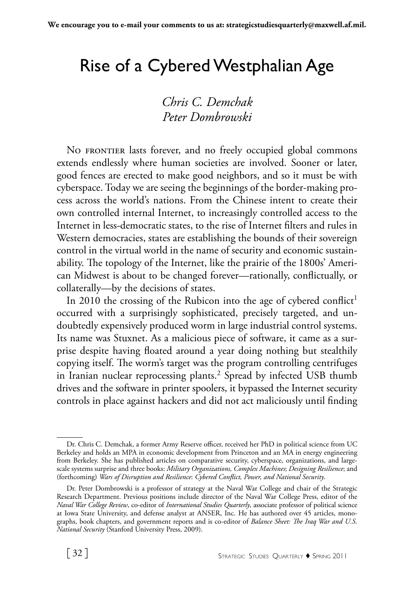# Rise of a Cybered Westphalian Age

# *Chris C. Demchak Peter Dombrowski*

No FRONTIER lasts forever, and no freely occupied global commons extends endlessly where human societies are involved. Sooner or later, good fences are erected to make good neighbors, and so it must be with cyberspace. Today we are seeing the beginnings of the border-making process across the world's nations. From the Chinese intent to create their own controlled internal Internet, to increasingly controlled access to the Internet in less-democratic states, to the rise of Internet filters and rules in Western democracies, states are establishing the bounds of their sovereign control in the virtual world in the name of security and economic sustainability. The topology of the Internet, like the prairie of the 1800s' American Midwest is about to be changed forever—rationally, conflictually, or collaterally—by the decisions of states.

In 2010 the crossing of the Rubicon into the age of cybered conflict<sup>1</sup> occurred with a surprisingly sophisticated, precisely targeted, and undoubtedly expensively produced worm in large industrial control systems. Its name was Stuxnet. As a malicious piece of software, it came as a surprise despite having floated around a year doing nothing but stealthily copying itself. The worm's target was the program controlling centrifuges in Iranian nuclear reprocessing plants.<sup>2</sup> Spread by infected USB thumb drives and the software in printer spoolers, it bypassed the Internet security controls in place against hackers and did not act maliciously until finding

Dr. Chris C. Demchak, a former Army Reserve officer, received her PhD in political science from UC Berkeley and holds an MPA in economic development from Princeton and an MA in energy engineering from Berkeley. She has published articles on comparative security, cyberspace, organizations, and largescale systems surprise and three books: *Military Organizations, Complex Machines*; *Designing Resilience*; and (forthcoming) *Wars of Disruption and Resilience*: *Cybered Conflict, Power, and National Security*.

Dr. Peter Dombrowski is a professor of strategy at the Naval War College and chair of the Strategic Research Department. Previous positions include director of the Naval War College Press, editor of the *Naval War College Review*, co-editor of *International Studies Quarterly*, associate professor of political science at Iowa State University, and defense analyst at ANSER, Inc. He has authored over 45 articles, monographs, book chapters, and government reports and is co-editor of *Balance Sheet: The Iraq War and U.S. National Security* (Stanford University Press, 2009).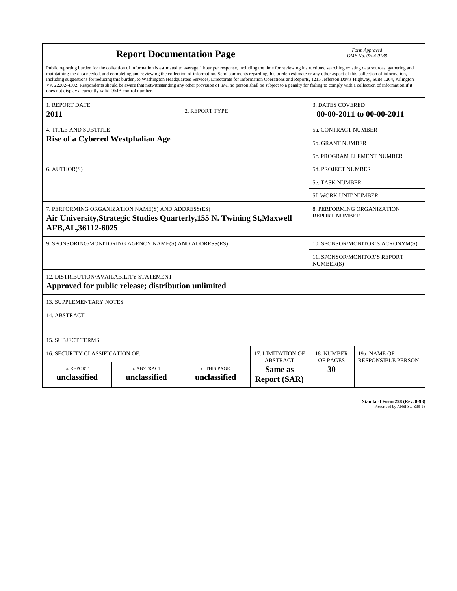| <b>Report Documentation Page</b>                                                                                                                                                                                                                                                                                                                                                                                                                                                                                                                                                                                                                                                                                                                                                                                                                                   |                             |                              |                                                   | Form Approved<br>OMB No. 0704-0188                  |                           |
|--------------------------------------------------------------------------------------------------------------------------------------------------------------------------------------------------------------------------------------------------------------------------------------------------------------------------------------------------------------------------------------------------------------------------------------------------------------------------------------------------------------------------------------------------------------------------------------------------------------------------------------------------------------------------------------------------------------------------------------------------------------------------------------------------------------------------------------------------------------------|-----------------------------|------------------------------|---------------------------------------------------|-----------------------------------------------------|---------------------------|
| Public reporting burden for the collection of information is estimated to average 1 hour per response, including the time for reviewing instructions, searching existing data sources, gathering and<br>maintaining the data needed, and completing and reviewing the collection of information. Send comments regarding this burden estimate or any other aspect of this collection of information,<br>including suggestions for reducing this burden, to Washington Headquarters Services, Directorate for Information Operations and Reports, 1215 Jefferson Davis Highway, Suite 1204, Arlington<br>VA 22202-4302. Respondents should be aware that notwithstanding any other provision of law, no person shall be subject to a penalty for failing to comply with a collection of information if it<br>does not display a currently valid OMB control number. |                             |                              |                                                   |                                                     |                           |
| 1. REPORT DATE<br>2011                                                                                                                                                                                                                                                                                                                                                                                                                                                                                                                                                                                                                                                                                                                                                                                                                                             |                             | 2. REPORT TYPE               |                                                   | <b>3. DATES COVERED</b><br>00-00-2011 to 00-00-2011 |                           |
| <b>4. TITLE AND SUBTITLE</b>                                                                                                                                                                                                                                                                                                                                                                                                                                                                                                                                                                                                                                                                                                                                                                                                                                       |                             |                              |                                                   | 5a. CONTRACT NUMBER                                 |                           |
| Rise of a Cybered Westphalian Age                                                                                                                                                                                                                                                                                                                                                                                                                                                                                                                                                                                                                                                                                                                                                                                                                                  |                             |                              |                                                   | <b>5b. GRANT NUMBER</b>                             |                           |
|                                                                                                                                                                                                                                                                                                                                                                                                                                                                                                                                                                                                                                                                                                                                                                                                                                                                    |                             |                              |                                                   | 5c. PROGRAM ELEMENT NUMBER                          |                           |
| 6. AUTHOR(S)                                                                                                                                                                                                                                                                                                                                                                                                                                                                                                                                                                                                                                                                                                                                                                                                                                                       |                             |                              |                                                   | <b>5d. PROJECT NUMBER</b>                           |                           |
|                                                                                                                                                                                                                                                                                                                                                                                                                                                                                                                                                                                                                                                                                                                                                                                                                                                                    |                             |                              |                                                   | <b>5e. TASK NUMBER</b>                              |                           |
|                                                                                                                                                                                                                                                                                                                                                                                                                                                                                                                                                                                                                                                                                                                                                                                                                                                                    |                             |                              |                                                   | <b>5f. WORK UNIT NUMBER</b>                         |                           |
| 7. PERFORMING ORGANIZATION NAME(S) AND ADDRESS(ES)<br>Air University, Strategic Studies Quarterly, 155 N. Twining St, Maxwell<br>AFB, AL, 36112-6025                                                                                                                                                                                                                                                                                                                                                                                                                                                                                                                                                                                                                                                                                                               |                             |                              |                                                   | 8. PERFORMING ORGANIZATION<br><b>REPORT NUMBER</b>  |                           |
| 9. SPONSORING/MONITORING AGENCY NAME(S) AND ADDRESS(ES)                                                                                                                                                                                                                                                                                                                                                                                                                                                                                                                                                                                                                                                                                                                                                                                                            |                             |                              |                                                   | 10. SPONSOR/MONITOR'S ACRONYM(S)                    |                           |
|                                                                                                                                                                                                                                                                                                                                                                                                                                                                                                                                                                                                                                                                                                                                                                                                                                                                    |                             |                              |                                                   | 11. SPONSOR/MONITOR'S REPORT<br>NUMBER(S)           |                           |
| 12. DISTRIBUTION/AVAILABILITY STATEMENT<br>Approved for public release; distribution unlimited                                                                                                                                                                                                                                                                                                                                                                                                                                                                                                                                                                                                                                                                                                                                                                     |                             |                              |                                                   |                                                     |                           |
| <b>13. SUPPLEMENTARY NOTES</b>                                                                                                                                                                                                                                                                                                                                                                                                                                                                                                                                                                                                                                                                                                                                                                                                                                     |                             |                              |                                                   |                                                     |                           |
| 14. ABSTRACT                                                                                                                                                                                                                                                                                                                                                                                                                                                                                                                                                                                                                                                                                                                                                                                                                                                       |                             |                              |                                                   |                                                     |                           |
| <b>15. SUBJECT TERMS</b>                                                                                                                                                                                                                                                                                                                                                                                                                                                                                                                                                                                                                                                                                                                                                                                                                                           |                             |                              |                                                   |                                                     |                           |
| 16. SECURITY CLASSIFICATION OF:                                                                                                                                                                                                                                                                                                                                                                                                                                                                                                                                                                                                                                                                                                                                                                                                                                    | 17. LIMITATION OF           | 18. NUMBER                   | 19a. NAME OF                                      |                                                     |                           |
| a. REPORT<br>unclassified                                                                                                                                                                                                                                                                                                                                                                                                                                                                                                                                                                                                                                                                                                                                                                                                                                          | b. ABSTRACT<br>unclassified | c. THIS PAGE<br>unclassified | <b>ABSTRACT</b><br>Same as<br><b>Report (SAR)</b> | OF PAGES<br>30                                      | <b>RESPONSIBLE PERSON</b> |

**Standard Form 298 (Rev. 8-98)**<br>Prescribed by ANSI Std Z39-18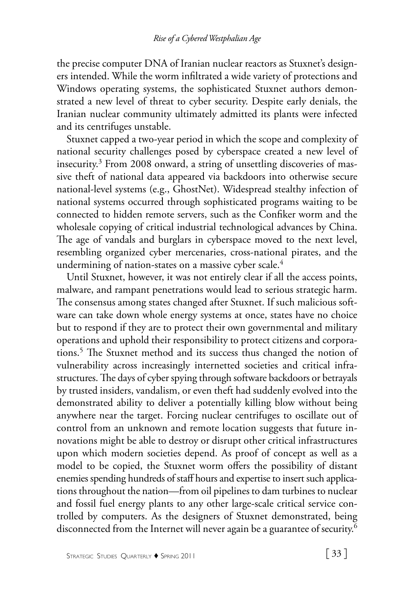the precise computer DNA of Iranian nuclear reactors as Stuxnet's designers intended. While the worm infiltrated a wide variety of protections and Windows operating systems, the sophisticated Stuxnet authors demonstrated a new level of threat to cyber security. Despite early denials, the Iranian nuclear community ultimately admitted its plants were infected and its centrifuges unstable.

Stuxnet capped a two-year period in which the scope and complexity of national security challenges posed by cyberspace created a new level of insecurity. $^3$  From 2008 onward, a string of unsettling discoveries of massive theft of national data appeared via backdoors into otherwise secure national-level systems (e.g., GhostNet). Widespread stealthy infection of national systems occurred through sophisticated programs waiting to be connected to hidden remote servers, such as the Confiker worm and the wholesale copying of critical industrial technological advances by China. The age of vandals and burglars in cyberspace moved to the next level, resembling organized cyber mercenaries, cross-national pirates, and the undermining of nation-states on a massive cyber scale.<sup>4</sup>

Until Stuxnet, however, it was not entirely clear if all the access points, malware, and rampant penetrations would lead to serious strategic harm. The consensus among states changed after Stuxnet. If such malicious software can take down whole energy systems at once, states have no choice but to respond if they are to protect their own governmental and military operations and uphold their responsibility to protect citizens and corporations.5 The Stuxnet method and its success thus changed the notion of vulnerability across increasingly internetted societies and critical infrastructures. The days of cyber spying through software backdoors or betrayals by trusted insiders, vandalism, or even theft had suddenly evolved into the demonstrated ability to deliver a potentially killing blow without being anywhere near the target. Forcing nuclear centrifuges to oscillate out of control from an unknown and remote location suggests that future innovations might be able to destroy or disrupt other critical infrastructures upon which modern societies depend. As proof of concept as well as a model to be copied, the Stuxnet worm offers the possibility of distant enemies spending hundreds of staff hours and expertise to insert such applications throughout the nation—from oil pipelines to dam turbines to nuclear and fossil fuel energy plants to any other large-scale critical service controlled by computers. As the designers of Stuxnet demonstrated, being disconnected from the Internet will never again be a guarantee of security.<sup>6</sup>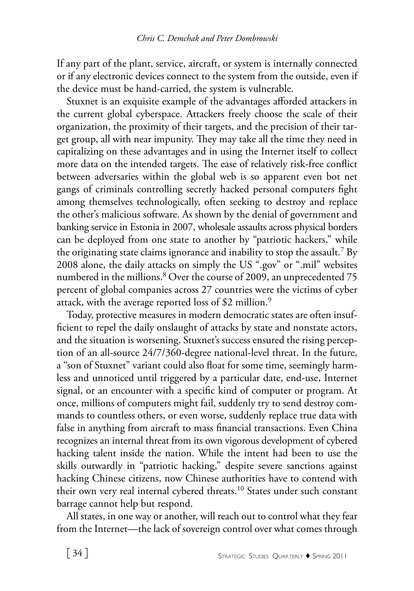If any part of the plant, service, aircraft, or system is internally connected or if any electronic devices connect to the system from the outside, even if the device must be hand-carried, the system is vulnerable.

Stuxnet is an exquisite example of the advantages afforded attackers in the current global cyberspace. Attackers freely choose the scale of their organization, the proximity of their targets, and the precision of their target group, all with near impunity. They may take all the time they need in capitalizing on these advantages and in using the Internet itself to collect more data on the intended targets. The ease of relatively risk-free conflict between adversaries within the global web is so apparent even bot net gangs of criminals controlling secretly hacked personal computers fight among themselves technologically, often seeking to destroy and replace the other's malicious software. As shown by the denial of government and banking service in Estonia in 2007, wholesale assaults across physical borders can be deployed from one state to another by "patriotic hackers," while the originating state claims ignorance and inability to stop the assault.<sup>7</sup> By 2008 alone, the daily attacks on simply the US ".gov" or ".mil" websites numbered in the millions.<sup>8</sup> Over the course of 2009, an unprecedented 75 percent of global companies across 27 countries were the victims of cyber attack, with the average reported loss of \$2 million.<sup>9</sup>

Today, protective measures in modern democratic states are often insufficient to repel the daily onslaught of attacks by state and nonstate actors, and the situation is worsening. Stuxnet's success ensured the rising perception of an all-source 24/7/360-degree national-level threat. In the future, a "son of Stuxnet" variant could also float for some time, seemingly harmless and unnoticed until triggered by a particular date, end-use, Internet signal, or an encounter with a specific kind of computer or program. At once, millions of computers might fail, suddenly try to send destroy commands to countless others, or even worse, suddenly replace true data with false in anything from aircraft to mass financial transactions. Even China recognizes an internal threat from its own vigorous development of cybered hacking talent inside the nation. While the intent had been to use the skills outwardly in "patriotic hacking," despite severe sanctions against hacking Chinese citizens, now Chinese authorities have to contend with their own very real internal cybered threats.<sup>10</sup> States under such constant barrage cannot help but respond.

All states, in one way or another, will reach out to control what they fear from the Internet—the lack of sovereign control over what comes through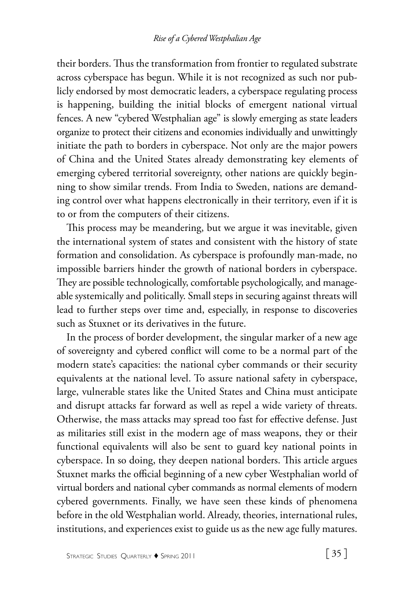their borders. Thus the transformation from frontier to regulated substrate across cyberspace has begun. While it is not recognized as such nor publicly endorsed by most democratic leaders, a cyberspace regulating process is happening, building the initial blocks of emergent national virtual fences. A new "cybered Westphalian age" is slowly emerging as state leaders organize to protect their citizens and economies individually and unwittingly initiate the path to borders in cyberspace. Not only are the major powers of China and the United States already demonstrating key elements of emerging cybered territorial sovereignty, other nations are quickly beginning to show similar trends. From India to Sweden, nations are demanding control over what happens electronically in their territory, even if it is to or from the computers of their citizens.

This process may be meandering, but we argue it was inevitable, given the international system of states and consistent with the history of state formation and consolidation. As cyberspace is profoundly man-made, no impossible barriers hinder the growth of national borders in cyberspace. They are possible technologically, comfortable psychologically, and manageable systemically and politically. Small steps in securing against threats will lead to further steps over time and, especially, in response to discoveries such as Stuxnet or its derivatives in the future.

In the process of border development, the singular marker of a new age of sovereignty and cybered conflict will come to be a normal part of the modern state's capacities: the national cyber commands or their security equivalents at the national level. To assure national safety in cyberspace, large, vulnerable states like the United States and China must anticipate and disrupt attacks far forward as well as repel a wide variety of threats. Otherwise, the mass attacks may spread too fast for effective defense. Just as militaries still exist in the modern age of mass weapons, they or their functional equivalents will also be sent to guard key national points in cyberspace. In so doing, they deepen national borders. This article argues Stuxnet marks the official beginning of a new cyber Westphalian world of virtual borders and national cyber commands as normal elements of modern cybered governments. Finally, we have seen these kinds of phenomena before in the old Westphalian world. Already, theories, international rules, institutions, and experiences exist to guide us as the new age fully matures.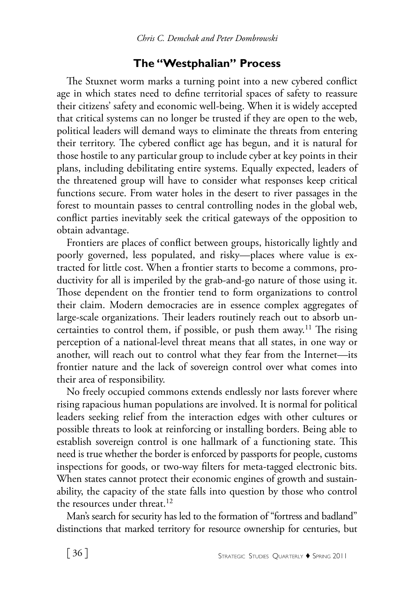#### **The "Westphalian" Process**

The Stuxnet worm marks a turning point into a new cybered conflict age in which states need to define territorial spaces of safety to reassure their citizens' safety and economic well-being. When it is widely accepted that critical systems can no longer be trusted if they are open to the web, political leaders will demand ways to eliminate the threats from entering their territory. The cybered conflict age has begun, and it is natural for those hostile to any particular group to include cyber at key points in their plans, including debilitating entire systems. Equally expected, leaders of the threatened group will have to consider what responses keep critical functions secure. From water holes in the desert to river passages in the forest to mountain passes to central controlling nodes in the global web, conflict parties inevitably seek the critical gateways of the opposition to obtain advantage.

Frontiers are places of conflict between groups, historically lightly and poorly governed, less populated, and risky—places where value is extracted for little cost. When a frontier starts to become a commons, productivity for all is imperiled by the grab-and-go nature of those using it. Those dependent on the frontier tend to form organizations to control their claim. Modern democracies are in essence complex aggregates of large-scale organizations. Their leaders routinely reach out to absorb uncertainties to control them, if possible, or push them away.<sup>11</sup> The rising perception of a national-level threat means that all states, in one way or another, will reach out to control what they fear from the Internet—its frontier nature and the lack of sovereign control over what comes into their area of responsibility.

No freely occupied commons extends endlessly nor lasts forever where rising rapacious human populations are involved. It is normal for political leaders seeking relief from the interaction edges with other cultures or possible threats to look at reinforcing or installing borders. Being able to establish sovereign control is one hallmark of a functioning state. This need is true whether the border is enforced by passports for people, customs inspections for goods, or two-way filters for meta-tagged electronic bits. When states cannot protect their economic engines of growth and sustainability, the capacity of the state falls into question by those who control the resources under threat.<sup>12</sup>

Man's search for security has led to the formation of "fortress and badland" distinctions that marked territory for resource ownership for centuries, but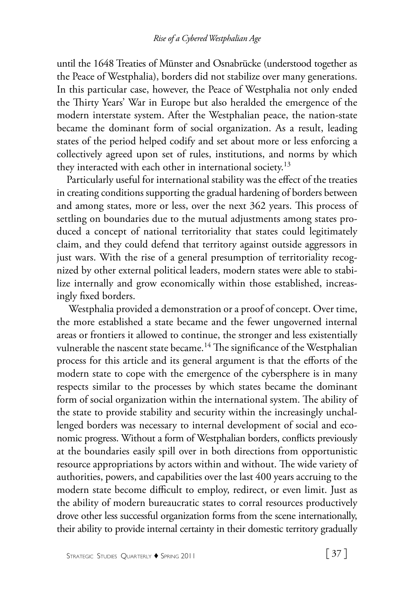until the 1648 Treaties of Münster and Osnabrücke (understood together as the Peace of Westphalia), borders did not stabilize over many generations. In this particular case, however, the Peace of Westphalia not only ended the Thirty Years' War in Europe but also heralded the emergence of the modern interstate system. After the Westphalian peace, the nation-state became the dominant form of social organization. As a result, leading states of the period helped codify and set about more or less enforcing a collectively agreed upon set of rules, institutions, and norms by which they interacted with each other in international society.<sup>13</sup>

Particularly useful for international stability was the effect of the treaties in creating conditions supporting the gradual hardening of borders between and among states, more or less, over the next 362 years. This process of settling on boundaries due to the mutual adjustments among states produced a concept of national territoriality that states could legitimately claim, and they could defend that territory against outside aggressors in just wars. With the rise of a general presumption of territoriality recognized by other external political leaders, modern states were able to stabilize internally and grow economically within those established, increasingly fixed borders.

 Westphalia provided a demonstration or a proof of concept. Over time, the more established a state became and the fewer ungoverned internal areas or frontiers it allowed to continue, the stronger and less existentially vulnerable the nascent state became.<sup>14</sup> The significance of the Westphalian process for this article and its general argument is that the efforts of the modern state to cope with the emergence of the cybersphere is in many respects similar to the processes by which states became the dominant form of social organization within the international system. The ability of the state to provide stability and security within the increasingly unchallenged borders was necessary to internal development of social and economic progress. Without a form of Westphalian borders, conflicts previously at the boundaries easily spill over in both directions from opportunistic resource appropriations by actors within and without. The wide variety of authorities, powers, and capabilities over the last 400 years accruing to the modern state become difficult to employ, redirect, or even limit. Just as the ability of modern bureaucratic states to corral resources productively drove other less successful organization forms from the scene internationally, their ability to provide internal certainty in their domestic territory gradually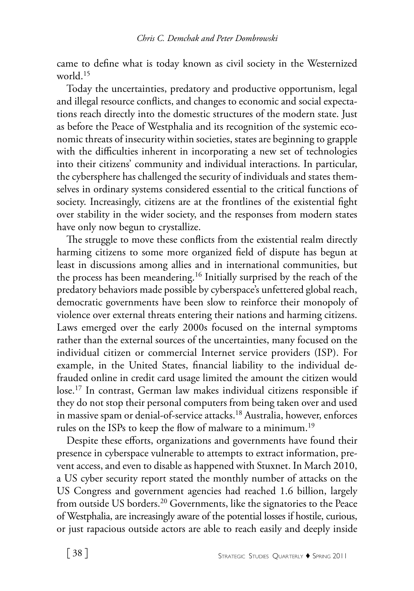came to define what is today known as civil society in the Westernized world.15

Today the uncertainties, predatory and productive opportunism, legal and illegal resource conflicts, and changes to economic and social expectations reach directly into the domestic structures of the modern state. Just as before the Peace of Westphalia and its recognition of the systemic economic threats of insecurity within societies, states are beginning to grapple with the difficulties inherent in incorporating a new set of technologies into their citizens' community and individual interactions. In particular, the cybersphere has challenged the security of individuals and states themselves in ordinary systems considered essential to the critical functions of society. Increasingly, citizens are at the frontlines of the existential fight over stability in the wider society, and the responses from modern states have only now begun to crystallize.

The struggle to move these conflicts from the existential realm directly harming citizens to some more organized field of dispute has begun at least in discussions among allies and in international communities, but the process has been meandering.<sup>16</sup> Initially surprised by the reach of the predatory behaviors made possible by cyberspace's unfettered global reach, democratic governments have been slow to reinforce their monopoly of violence over external threats entering their nations and harming citizens. Laws emerged over the early 2000s focused on the internal symptoms rather than the external sources of the uncertainties, many focused on the individual citizen or commercial Internet service providers (ISP). For example, in the United States, financial liability to the individual defrauded online in credit card usage limited the amount the citizen would lose.17 In contrast, German law makes individual citizens responsible if they do not stop their personal computers from being taken over and used in massive spam or denial-of-service attacks.18 Australia, however, enforces rules on the ISPs to keep the flow of malware to a minimum.<sup>19</sup>

Despite these efforts, organizations and governments have found their presence in cyberspace vulnerable to attempts to extract information, prevent access, and even to disable as happened with Stuxnet. In March 2010, a US cyber security report stated the monthly number of attacks on the US Congress and government agencies had reached 1.6 billion, largely from outside US borders.<sup>20</sup> Governments, like the signatories to the Peace of Westphalia, are increasingly aware of the potential losses if hostile, curious, or just rapacious outside actors are able to reach easily and deeply inside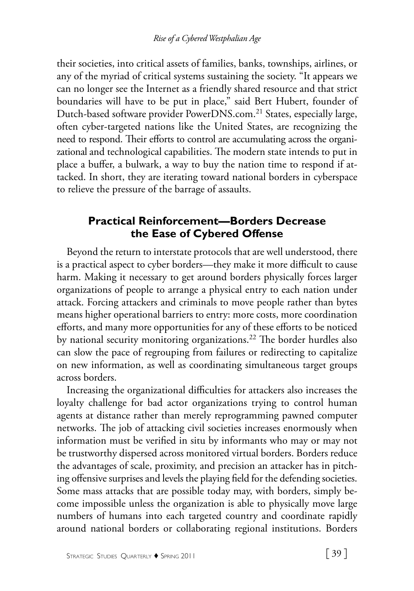their societies, into critical assets of families, banks, townships, airlines, or any of the myriad of critical systems sustaining the society. "It appears we can no longer see the Internet as a friendly shared resource and that strict boundaries will have to be put in place," said Bert Hubert, founder of Dutch-based software provider PowerDNS.com.21 States, especially large, often cyber-targeted nations like the United States, are recognizing the need to respond. Their efforts to control are accumulating across the organizational and technological capabilities. The modern state intends to put in place a buffer, a bulwark, a way to buy the nation time to respond if attacked. In short, they are iterating toward national borders in cyberspace to relieve the pressure of the barrage of assaults.

#### **Practical Reinforcement—Borders Decrease the Ease of Cybered Offense**

Beyond the return to interstate protocols that are well understood, there is a practical aspect to cyber borders—they make it more difficult to cause harm. Making it necessary to get around borders physically forces larger organizations of people to arrange a physical entry to each nation under attack. Forcing attackers and criminals to move people rather than bytes means higher operational barriers to entry: more costs, more coordination efforts, and many more opportunities for any of these efforts to be noticed by national security monitoring organizations.<sup>22</sup> The border hurdles also can slow the pace of regrouping from failures or redirecting to capitalize on new information, as well as coordinating simultaneous target groups across borders.

Increasing the organizational difficulties for attackers also increases the loyalty challenge for bad actor organizations trying to control human agents at distance rather than merely reprogramming pawned computer networks. The job of attacking civil societies increases enormously when information must be verified in situ by informants who may or may not be trustworthy dispersed across monitored virtual borders. Borders reduce the advantages of scale, proximity, and precision an attacker has in pitching offensive surprises and levels the playing field for the defending societies. Some mass attacks that are possible today may, with borders, simply become impossible unless the organization is able to physically move large numbers of humans into each targeted country and coordinate rapidly around national borders or collaborating regional institutions. Borders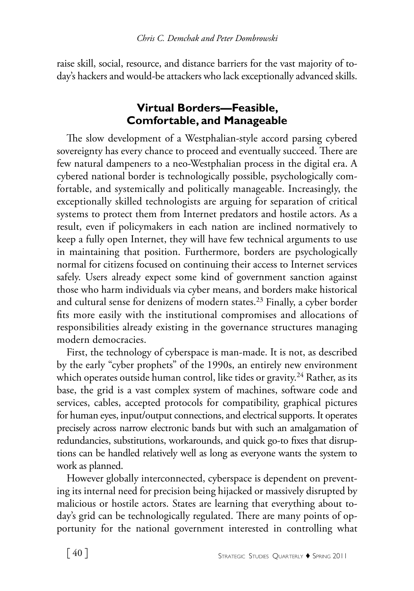raise skill, social, resource, and distance barriers for the vast majority of today's hackers and would-be attackers who lack exceptionally advanced skills.

## **Virtual Borders—Feasible, Comfortable, and Manageable**

The slow development of a Westphalian-style accord parsing cybered sovereignty has every chance to proceed and eventually succeed. There are few natural dampeners to a neo-Westphalian process in the digital era. A cybered national border is technologically possible, psychologically comfortable, and systemically and politically manageable. Increasingly, the exceptionally skilled technologists are arguing for separation of critical systems to protect them from Internet predators and hostile actors. As a result, even if policymakers in each nation are inclined normatively to keep a fully open Internet, they will have few technical arguments to use in maintaining that position. Furthermore, borders are psychologically normal for citizens focused on continuing their access to Internet services safely. Users already expect some kind of government sanction against those who harm individuals via cyber means, and borders make historical and cultural sense for denizens of modern states.23 Finally, a cyber border fits more easily with the institutional compromises and allocations of responsibilities already existing in the governance structures managing modern democracies.

First, the technology of cyberspace is man-made. It is not, as described by the early "cyber prophets" of the 1990s, an entirely new environment which operates outside human control, like tides or gravity.<sup>24</sup> Rather, as its base, the grid is a vast complex system of machines, software code and services, cables, accepted protocols for compatibility, graphical pictures for human eyes, input/output connections, and electrical supports. It operates precisely across narrow electronic bands but with such an amalgamation of redundancies, substitutions, workarounds, and quick go-to fixes that disruptions can be handled relatively well as long as everyone wants the system to work as planned.

However globally interconnected, cyberspace is dependent on preventing its internal need for precision being hijacked or massively disrupted by malicious or hostile actors. States are learning that everything about today's grid can be technologically regulated. There are many points of opportunity for the national government interested in controlling what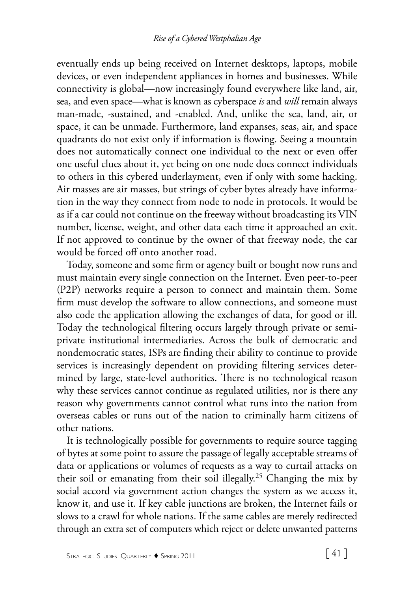eventually ends up being received on Internet desktops, laptops, mobile devices, or even independent appliances in homes and businesses. While connectivity is global—now increasingly found everywhere like land, air, sea, and even space—what is known as cyberspace *is* and *will* remain always man-made, -sustained, and -enabled. And, unlike the sea, land, air, or space, it can be unmade. Furthermore, land expanses, seas, air, and space quadrants do not exist only if information is flowing. Seeing a mountain does not automatically connect one individual to the next or even offer one useful clues about it, yet being on one node does connect individuals to others in this cybered underlayment, even if only with some hacking. Air masses are air masses, but strings of cyber bytes already have information in the way they connect from node to node in protocols. It would be as if a car could not continue on the freeway without broadcasting its VIN number, license, weight, and other data each time it approached an exit. If not approved to continue by the owner of that freeway node, the car would be forced off onto another road.

Today, someone and some firm or agency built or bought now runs and must maintain every single connection on the Internet. Even peer-to-peer (P2P) networks require a person to connect and maintain them. Some firm must develop the software to allow connections, and someone must also code the application allowing the exchanges of data, for good or ill. Today the technological filtering occurs largely through private or semiprivate institutional intermediaries. Across the bulk of democratic and nondemocratic states, ISPs are finding their ability to continue to provide services is increasingly dependent on providing filtering services determined by large, state-level authorities. There is no technological reason why these services cannot continue as regulated utilities, nor is there any reason why governments cannot control what runs into the nation from overseas cables or runs out of the nation to criminally harm citizens of other nations.

It is technologically possible for governments to require source tagging of bytes at some point to assure the passage of legally acceptable streams of data or applications or volumes of requests as a way to curtail attacks on their soil or emanating from their soil illegally.<sup>25</sup> Changing the mix by social accord via government action changes the system as we access it, know it, and use it. If key cable junctions are broken, the Internet fails or slows to a crawl for whole nations. If the same cables are merely redirected through an extra set of computers which reject or delete unwanted patterns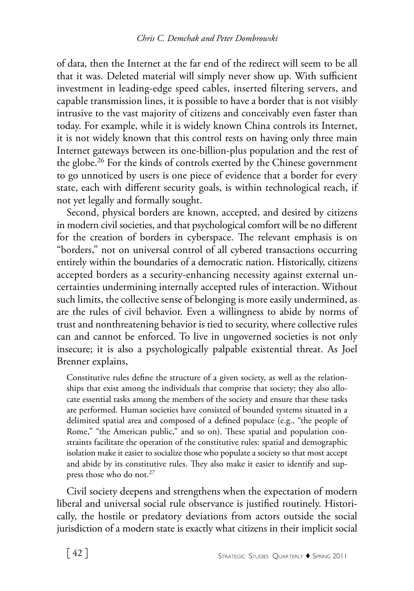of data, then the Internet at the far end of the redirect will seem to be all that it was. Deleted material will simply never show up. With sufficient investment in leading-edge speed cables, inserted filtering servers, and capable transmission lines, it is possible to have a border that is not visibly intrusive to the vast majority of citizens and conceivably even faster than today. For example, while it is widely known China controls its Internet, it is not widely known that this control rests on having only three main Internet gateways between its one-billion-plus population and the rest of the globe.<sup>26</sup> For the kinds of controls exerted by the Chinese government to go unnoticed by users is one piece of evidence that a border for every state, each with different security goals, is within technological reach, if not yet legally and formally sought.

Second, physical borders are known, accepted, and desired by citizens in modern civil societies, and that psychological comfort will be no different for the creation of borders in cyberspace. The relevant emphasis is on "borders," not on universal control of all cybered transactions occurring entirely within the boundaries of a democratic nation. Historically, citizens accepted borders as a security-enhancing necessity against external uncertainties undermining internally accepted rules of interaction. Without such limits, the collective sense of belonging is more easily undermined, as are the rules of civil behavior. Even a willingness to abide by norms of trust and nonthreatening behavior is tied to security, where collective rules can and cannot be enforced. To live in ungoverned societies is not only insecure; it is also a psychologically palpable existential threat. As Joel Brenner explains,

Constitutive rules define the structure of a given society, as well as the relationships that exist among the individuals that comprise that society; they also allocate essential tasks among the members of the society and ensure that these tasks are performed. Human societies have consisted of bounded systems situated in a delimited spatial area and composed of a defined populace (e.g., "the people of Rome," "the American public," and so on). These spatial and population constraints facilitate the operation of the constitutive rules: spatial and demographic isolation make it easier to socialize those who populate a society so that most accept and abide by its constitutive rules. They also make it easier to identify and suppress those who do not.<sup>27</sup>

Civil society deepens and strengthens when the expectation of modern liberal and universal social rule observance is justified routinely. Historically, the hostile or predatory deviations from actors outside the social jurisdiction of a modern state is exactly what citizens in their implicit social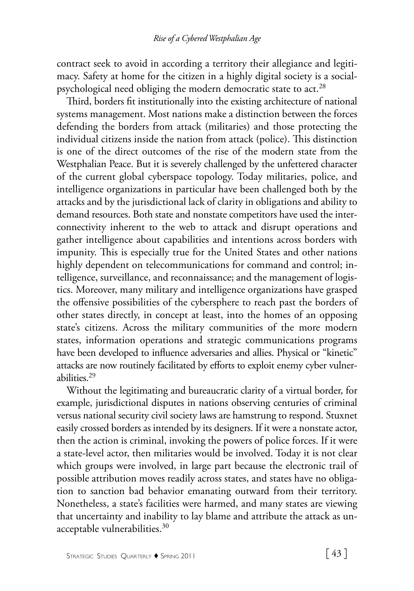contract seek to avoid in according a territory their allegiance and legitimacy. Safety at home for the citizen in a highly digital society is a socialpsychological need obliging the modern democratic state to act.<sup>28</sup>

Third, borders fit institutionally into the existing architecture of national systems management. Most nations make a distinction between the forces defending the borders from attack (militaries) and those protecting the individual citizens inside the nation from attack (police). This distinction is one of the direct outcomes of the rise of the modern state from the Westphalian Peace. But it is severely challenged by the unfettered character of the current global cyberspace topology. Today militaries, police, and intelligence organizations in particular have been challenged both by the attacks and by the jurisdictional lack of clarity in obligations and ability to demand resources. Both state and nonstate competitors have used the interconnectivity inherent to the web to attack and disrupt operations and gather intelligence about capabilities and intentions across borders with impunity. This is especially true for the United States and other nations highly dependent on telecommunications for command and control; intelligence, surveillance, and reconnaissance; and the management of logistics. Moreover, many military and intelligence organizations have grasped the offensive possibilities of the cybersphere to reach past the borders of other states directly, in concept at least, into the homes of an opposing state's citizens. Across the military communities of the more modern states, information operations and strategic communications programs have been developed to influence adversaries and allies. Physical or "kinetic" attacks are now routinely facilitated by efforts to exploit enemy cyber vulnerabilities.29

Without the legitimating and bureaucratic clarity of a virtual border, for example, jurisdictional disputes in nations observing centuries of criminal versus national security civil society laws are hamstrung to respond. Stuxnet easily crossed borders as intended by its designers. If it were a nonstate actor, then the action is criminal, invoking the powers of police forces. If it were a state-level actor, then militaries would be involved. Today it is not clear which groups were involved, in large part because the electronic trail of possible attribution moves readily across states, and states have no obligation to sanction bad behavior emanating outward from their territory. Nonetheless, a state's facilities were harmed, and many states are viewing that uncertainty and inability to lay blame and attribute the attack as unacceptable vulnerabilities.<sup>30</sup>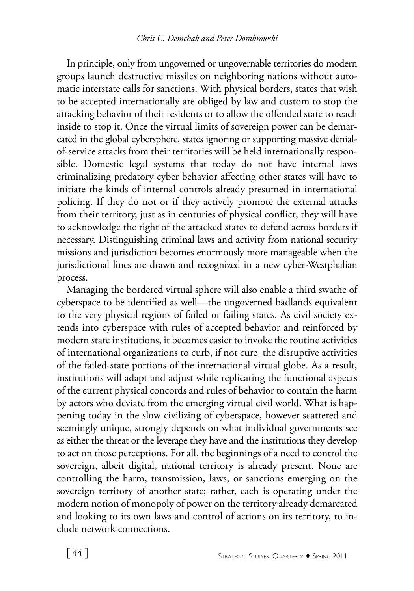In principle, only from ungoverned or ungovernable territories do modern groups launch destructive missiles on neighboring nations without automatic interstate calls for sanctions. With physical borders, states that wish to be accepted internationally are obliged by law and custom to stop the attacking behavior of their residents or to allow the offended state to reach inside to stop it. Once the virtual limits of sovereign power can be demarcated in the global cybersphere, states ignoring or supporting massive denialof-service attacks from their territories will be held internationally responsible. Domestic legal systems that today do not have internal laws criminalizing predatory cyber behavior affecting other states will have to initiate the kinds of internal controls already presumed in international policing. If they do not or if they actively promote the external attacks from their territory, just as in centuries of physical conflict, they will have to acknowledge the right of the attacked states to defend across borders if necessary. Distinguishing criminal laws and activity from national security missions and jurisdiction becomes enormously more manageable when the jurisdictional lines are drawn and recognized in a new cyber-Westphalian process.

Managing the bordered virtual sphere will also enable a third swathe of cyberspace to be identified as well—the ungoverned badlands equivalent to the very physical regions of failed or failing states. As civil society extends into cyberspace with rules of accepted behavior and reinforced by modern state institutions, it becomes easier to invoke the routine activities of international organizations to curb, if not cure, the disruptive activities of the failed-state portions of the international virtual globe. As a result, institutions will adapt and adjust while replicating the functional aspects of the current physical concords and rules of behavior to contain the harm by actors who deviate from the emerging virtual civil world. What is happening today in the slow civilizing of cyberspace, however scattered and seemingly unique, strongly depends on what individual governments see as either the threat or the leverage they have and the institutions they develop to act on those perceptions. For all, the beginnings of a need to control the sovereign, albeit digital, national territory is already present. None are controlling the harm, transmission, laws, or sanctions emerging on the sovereign territory of another state; rather, each is operating under the modern notion of monopoly of power on the territory already demarcated and looking to its own laws and control of actions on its territory, to include network connections.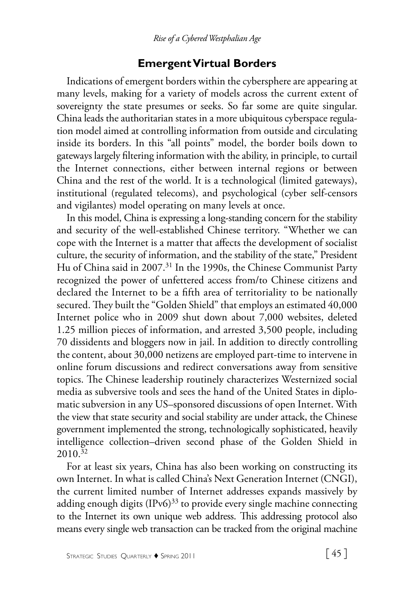#### **Emergent Virtual Borders**

Indications of emergent borders within the cybersphere are appearing at many levels, making for a variety of models across the current extent of sovereignty the state presumes or seeks. So far some are quite singular. China leads the authoritarian states in a more ubiquitous cyberspace regulation model aimed at controlling information from outside and circulating inside its borders. In this "all points" model, the border boils down to gateways largely filtering information with the ability, in principle, to curtail the Internet connections, either between internal regions or between China and the rest of the world. It is a technological (limited gateways), institutional (regulated telecoms), and psychological (cyber self-censors and vigilantes) model operating on many levels at once.

In this model, China is expressing a long-standing concern for the stability and security of the well-established Chinese territory. "Whether we can cope with the Internet is a matter that affects the development of socialist culture, the security of information, and the stability of the state," President Hu of China said in 2007.<sup>31</sup> In the 1990s, the Chinese Communist Party recognized the power of unfettered access from/to Chinese citizens and declared the Internet to be a fifth area of territoriality to be nationally secured. They built the "Golden Shield" that employs an estimated 40,000 Internet police who in 2009 shut down about 7,000 websites, deleted 1.25 million pieces of information, and arrested 3,500 people, including 70 dissidents and bloggers now in jail. In addition to directly controlling the content, about 30,000 netizens are employed part-time to intervene in online forum discussions and redirect conversations away from sensitive topics. The Chinese leadership routinely characterizes Westernized social media as subversive tools and sees the hand of the United States in diplomatic subversion in any US–sponsored discussions of open Internet. With the view that state security and social stability are under attack, the Chinese government implemented the strong, technologically sophisticated, heavily intelligence collection–driven second phase of the Golden Shield in 2010.32

For at least six years, China has also been working on constructing its own Internet. In what is called China's Next Generation Internet (CNGI), the current limited number of Internet addresses expands massively by adding enough digits  $(IPv6)^{33}$  to provide every single machine connecting to the Internet its own unique web address. This addressing protocol also means every single web transaction can be tracked from the original machine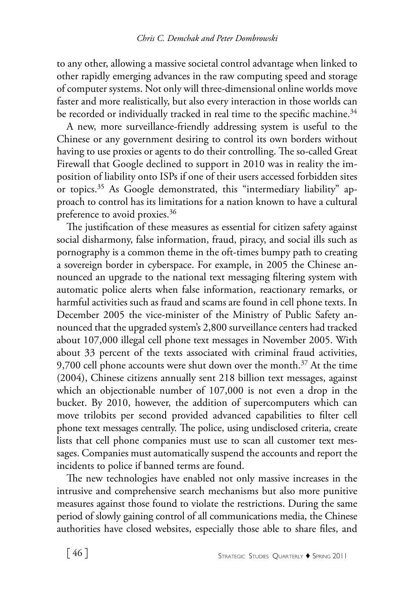to any other, allowing a massive societal control advantage when linked to other rapidly emerging advances in the raw computing speed and storage of computer systems. Not only will three-dimensional online worlds move faster and more realistically, but also every interaction in those worlds can be recorded or individually tracked in real time to the specific machine.<sup>34</sup>

A new, more surveillance-friendly addressing system is useful to the Chinese or any government desiring to control its own borders without having to use proxies or agents to do their controlling. The so-called Great Firewall that Google declined to support in 2010 was in reality the imposition of liability onto ISPs if one of their users accessed forbidden sites or topics.<sup>35</sup> As Google demonstrated, this "intermediary liability" approach to control has its limitations for a nation known to have a cultural preference to avoid proxies.<sup>36</sup>

The justification of these measures as essential for citizen safety against social disharmony, false information, fraud, piracy, and social ills such as pornography is a common theme in the oft-times bumpy path to creating a sovereign border in cyberspace. For example, in 2005 the Chinese announced an upgrade to the national text messaging filtering system with automatic police alerts when false information, reactionary remarks, or harmful activities such as fraud and scams are found in cell phone texts. In December 2005 the vice-minister of the Ministry of Public Safety announced that the upgraded system's 2,800 surveillance centers had tracked about 107,000 illegal cell phone text messages in November 2005. With about 33 percent of the texts associated with criminal fraud activities, 9,700 cell phone accounts were shut down over the month.<sup>37</sup> At the time (2004), Chinese citizens annually sent 218 billion text messages, against which an objectionable number of 107,000 is not even a drop in the bucket. By 2010, however, the addition of supercomputers which can move trilobits per second provided advanced capabilities to filter cell phone text messages centrally. The police, using undisclosed criteria, create lists that cell phone companies must use to scan all customer text messages. Companies must automatically suspend the accounts and report the incidents to police if banned terms are found.

The new technologies have enabled not only massive increases in the intrusive and comprehensive search mechanisms but also more punitive measures against those found to violate the restrictions. During the same period of slowly gaining control of all communications media, the Chinese authorities have closed websites, especially those able to share files, and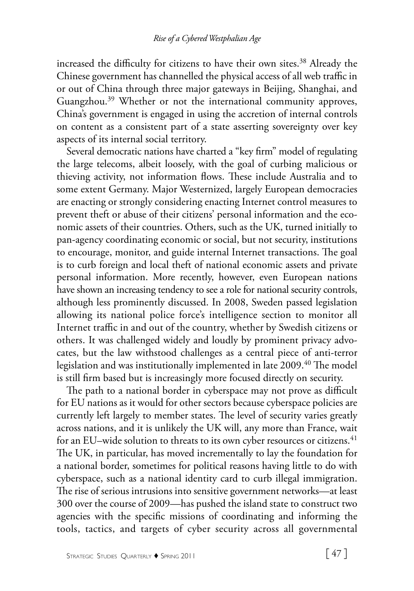increased the difficulty for citizens to have their own sites.<sup>38</sup> Already the Chinese government has channelled the physical access of all web traffic in or out of China through three major gateways in Beijing, Shanghai, and Guangzhou.39 Whether or not the international community approves, China's government is engaged in using the accretion of internal controls on content as a consistent part of a state asserting sovereignty over key aspects of its internal social territory.

Several democratic nations have charted a "key firm" model of regulating the large telecoms, albeit loosely, with the goal of curbing malicious or thieving activity, not information flows. These include Australia and to some extent Germany. Major Westernized, largely European democracies are enacting or strongly considering enacting Internet control measures to prevent theft or abuse of their citizens' personal information and the economic assets of their countries. Others, such as the UK, turned initially to pan-agency coordinating economic or social, but not security, institutions to encourage, monitor, and guide internal Internet transactions. The goal is to curb foreign and local theft of national economic assets and private personal information. More recently, however, even European nations have shown an increasing tendency to see a role for national security controls, although less prominently discussed. In 2008, Sweden passed legislation allowing its national police force's intelligence section to monitor all Internet traffic in and out of the country, whether by Swedish citizens or others. It was challenged widely and loudly by prominent privacy advocates, but the law withstood challenges as a central piece of anti-terror legislation and was institutionally implemented in late 2009.<sup>40</sup> The model is still firm based but is increasingly more focused directly on security.

The path to a national border in cyberspace may not prove as difficult for EU nations as it would for other sectors because cyberspace policies are currently left largely to member states. The level of security varies greatly across nations, and it is unlikely the UK will, any more than France, wait for an EU–wide solution to threats to its own cyber resources or citizens.  $41$ The UK, in particular, has moved incrementally to lay the foundation for a national border, sometimes for political reasons having little to do with cyberspace, such as a national identity card to curb illegal immigration. The rise of serious intrusions into sensitive government networks—at least 300 over the course of 2009—has pushed the island state to construct two agencies with the specific missions of coordinating and informing the tools, tactics, and targets of cyber security across all governmental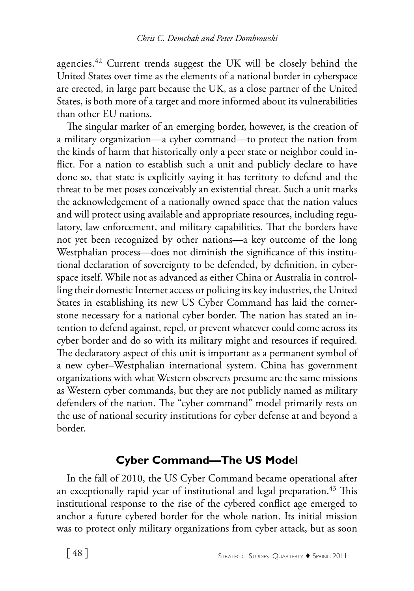agencies.<sup>42</sup> Current trends suggest the UK will be closely behind the United States over time as the elements of a national border in cyberspace are erected, in large part because the UK, as a close partner of the United States, is both more of a target and more informed about its vulnerabilities than other EU nations.

The singular marker of an emerging border, however, is the creation of a military organization—a cyber command—to protect the nation from the kinds of harm that historically only a peer state or neighbor could inflict. For a nation to establish such a unit and publicly declare to have done so, that state is explicitly saying it has territory to defend and the threat to be met poses conceivably an existential threat. Such a unit marks the acknowledgement of a nationally owned space that the nation values and will protect using available and appropriate resources, including regulatory, law enforcement, and military capabilities. That the borders have not yet been recognized by other nations—a key outcome of the long Westphalian process—does not diminish the significance of this institutional declaration of sovereignty to be defended, by definition, in cyberspace itself. While not as advanced as either China or Australia in controlling their domestic Internet access or policing its key industries, the United States in establishing its new US Cyber Command has laid the cornerstone necessary for a national cyber border. The nation has stated an intention to defend against, repel, or prevent whatever could come across its cyber border and do so with its military might and resources if required. The declaratory aspect of this unit is important as a permanent symbol of a new cyber–Westphalian international system. China has government organizations with what Western observers presume are the same missions as Western cyber commands, but they are not publicly named as military defenders of the nation. The "cyber command" model primarily rests on the use of national security institutions for cyber defense at and beyond a border.

#### **Cyber Command—The US Model**

In the fall of 2010, the US Cyber Command became operational after an exceptionally rapid year of institutional and legal preparation.<sup>43</sup> This institutional response to the rise of the cybered conflict age emerged to anchor a future cybered border for the whole nation. Its initial mission was to protect only military organizations from cyber attack, but as soon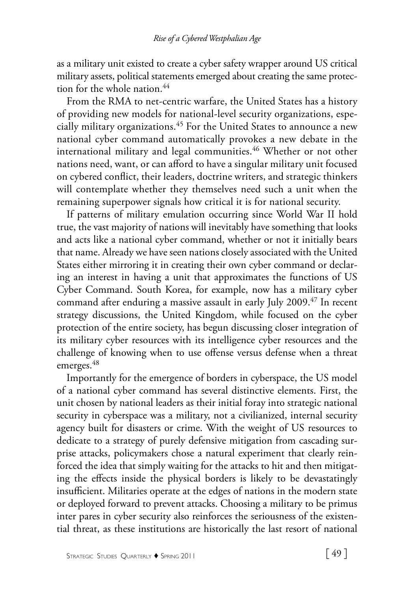as a military unit existed to create a cyber safety wrapper around US critical military assets, political statements emerged about creating the same protection for the whole nation.<sup>44</sup>

From the RMA to net-centric warfare, the United States has a history of providing new models for national-level security organizations, especially military organizations.45 For the United States to announce a new national cyber command automatically provokes a new debate in the international military and legal communities.<sup>46</sup> Whether or not other nations need, want, or can afford to have a singular military unit focused on cybered conflict, their leaders, doctrine writers, and strategic thinkers will contemplate whether they themselves need such a unit when the remaining superpower signals how critical it is for national security.

If patterns of military emulation occurring since World War II hold true, the vast majority of nations will inevitably have something that looks and acts like a national cyber command, whether or not it initially bears that name. Already we have seen nations closely associated with the United States either mirroring it in creating their own cyber command or declaring an interest in having a unit that approximates the functions of US Cyber Command. South Korea, for example, now has a military cyber command after enduring a massive assault in early July 2009.<sup>47</sup> In recent strategy discussions, the United Kingdom, while focused on the cyber protection of the entire society, has begun discussing closer integration of its military cyber resources with its intelligence cyber resources and the challenge of knowing when to use offense versus defense when a threat emerges.<sup>48</sup>

Importantly for the emergence of borders in cyberspace, the US model of a national cyber command has several distinctive elements. First, the unit chosen by national leaders as their initial foray into strategic national security in cyberspace was a military, not a civilianized, internal security agency built for disasters or crime. With the weight of US resources to dedicate to a strategy of purely defensive mitigation from cascading surprise attacks, policymakers chose a natural experiment that clearly reinforced the idea that simply waiting for the attacks to hit and then mitigating the effects inside the physical borders is likely to be devastatingly insufficient. Militaries operate at the edges of nations in the modern state or deployed forward to prevent attacks. Choosing a military to be primus inter pares in cyber security also reinforces the seriousness of the existential threat, as these institutions are historically the last resort of national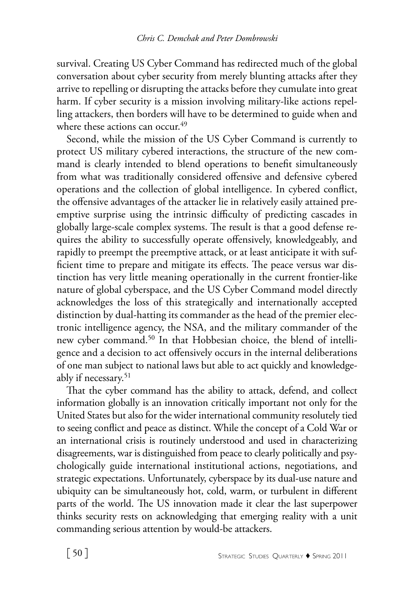survival. Creating US Cyber Command has redirected much of the global conversation about cyber security from merely blunting attacks after they arrive to repelling or disrupting the attacks before they cumulate into great harm. If cyber security is a mission involving military-like actions repelling attackers, then borders will have to be determined to guide when and where these actions can occur.<sup>49</sup>

Second, while the mission of the US Cyber Command is currently to protect US military cybered interactions, the structure of the new command is clearly intended to blend operations to benefit simultaneously from what was traditionally considered offensive and defensive cybered operations and the collection of global intelligence. In cybered conflict, the offensive advantages of the attacker lie in relatively easily attained preemptive surprise using the intrinsic difficulty of predicting cascades in globally large-scale complex systems. The result is that a good defense requires the ability to successfully operate offensively, knowledgeably, and rapidly to preempt the preemptive attack, or at least anticipate it with sufficient time to prepare and mitigate its effects. The peace versus war distinction has very little meaning operationally in the current frontier-like nature of global cyberspace, and the US Cyber Command model directly acknowledges the loss of this strategically and internationally accepted distinction by dual-hatting its commander as the head of the premier electronic intelligence agency, the NSA, and the military commander of the new cyber command.50 In that Hobbesian choice, the blend of intelligence and a decision to act offensively occurs in the internal deliberations of one man subject to national laws but able to act quickly and knowledgeably if necessary.<sup>51</sup>

That the cyber command has the ability to attack, defend, and collect information globally is an innovation critically important not only for the United States but also for the wider international community resolutely tied to seeing conflict and peace as distinct. While the concept of a Cold War or an international crisis is routinely understood and used in characterizing disagreements, war is distinguished from peace to clearly politically and psychologically guide international institutional actions, negotiations, and strategic expectations. Unfortunately, cyberspace by its dual-use nature and ubiquity can be simultaneously hot, cold, warm, or turbulent in different parts of the world. The US innovation made it clear the last superpower thinks security rests on acknowledging that emerging reality with a unit commanding serious attention by would-be attackers.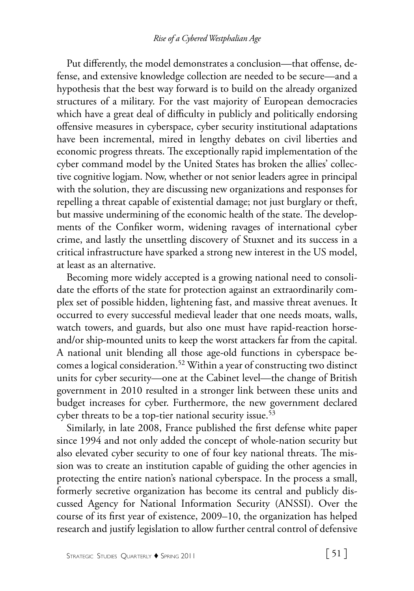Put differently, the model demonstrates a conclusion—that offense, defense, and extensive knowledge collection are needed to be secure—and a hypothesis that the best way forward is to build on the already organized structures of a military. For the vast majority of European democracies which have a great deal of difficulty in publicly and politically endorsing offensive measures in cyberspace, cyber security institutional adaptations have been incremental, mired in lengthy debates on civil liberties and economic progress threats. The exceptionally rapid implementation of the cyber command model by the United States has broken the allies' collective cognitive logjam. Now, whether or not senior leaders agree in principal with the solution, they are discussing new organizations and responses for repelling a threat capable of existential damage; not just burglary or theft, but massive undermining of the economic health of the state. The developments of the Confiker worm, widening ravages of international cyber crime, and lastly the unsettling discovery of Stuxnet and its success in a critical infrastructure have sparked a strong new interest in the US model, at least as an alternative.

Becoming more widely accepted is a growing national need to consolidate the efforts of the state for protection against an extraordinarily complex set of possible hidden, lightening fast, and massive threat avenues. It occurred to every successful medieval leader that one needs moats, walls, watch towers, and guards, but also one must have rapid-reaction horseand/or ship-mounted units to keep the worst attackers far from the capital. A national unit blending all those age-old functions in cyberspace becomes a logical consideration.52 Within a year of constructing two distinct units for cyber security—one at the Cabinet level—the change of British government in 2010 resulted in a stronger link between these units and budget increases for cyber. Furthermore, the new government declared cyber threats to be a top-tier national security issue.<sup>53</sup>

Similarly, in late 2008, France published the first defense white paper since 1994 and not only added the concept of whole-nation security but also elevated cyber security to one of four key national threats. The mission was to create an institution capable of guiding the other agencies in protecting the entire nation's national cyberspace. In the process a small, formerly secretive organization has become its central and publicly discussed Agency for National Information Security (ANSSI). Over the course of its first year of existence, 2009–10, the organization has helped research and justify legislation to allow further central control of defensive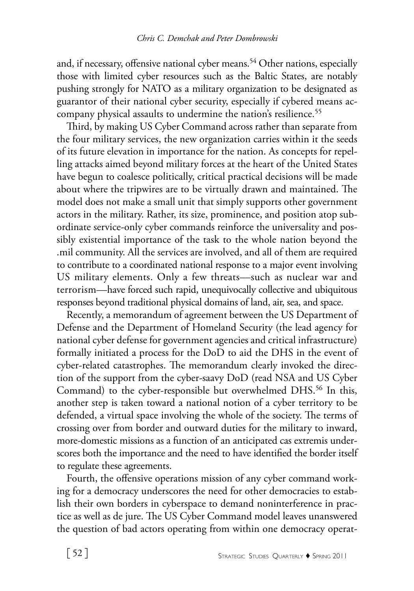and, if necessary, offensive national cyber means.<sup>54</sup> Other nations, especially those with limited cyber resources such as the Baltic States, are notably pushing strongly for NATO as a military organization to be designated as guarantor of their national cyber security, especially if cybered means accompany physical assaults to undermine the nation's resilience.<sup>55</sup>

Third, by making US Cyber Command across rather than separate from the four military services, the new organization carries within it the seeds of its future elevation in importance for the nation. As concepts for repelling attacks aimed beyond military forces at the heart of the United States have begun to coalesce politically, critical practical decisions will be made about where the tripwires are to be virtually drawn and maintained. The model does not make a small unit that simply supports other government actors in the military. Rather, its size, prominence, and position atop subordinate service-only cyber commands reinforce the universality and possibly existential importance of the task to the whole nation beyond the .mil community. All the services are involved, and all of them are required to contribute to a coordinated national response to a major event involving US military elements. Only a few threats––such as nuclear war and terrorism––have forced such rapid, unequivocally collective and ubiquitous responses beyond traditional physical domains of land, air, sea, and space.

Recently, a memorandum of agreement between the US Department of Defense and the Department of Homeland Security (the lead agency for national cyber defense for government agencies and critical infrastructure) formally initiated a process for the DoD to aid the DHS in the event of cyber-related catastrophes. The memorandum clearly invoked the direction of the support from the cyber-saavy DoD (read NSA and US Cyber Command) to the cyber-responsible but overwhelmed DHS.<sup>56</sup> In this, another step is taken toward a national notion of a cyber territory to be defended, a virtual space involving the whole of the society. The terms of crossing over from border and outward duties for the military to inward, more-domestic missions as a function of an anticipated cas extremis underscores both the importance and the need to have identified the border itself to regulate these agreements.

Fourth, the offensive operations mission of any cyber command working for a democracy underscores the need for other democracies to establish their own borders in cyberspace to demand noninterference in practice as well as de jure. The US Cyber Command model leaves unanswered the question of bad actors operating from within one democracy operat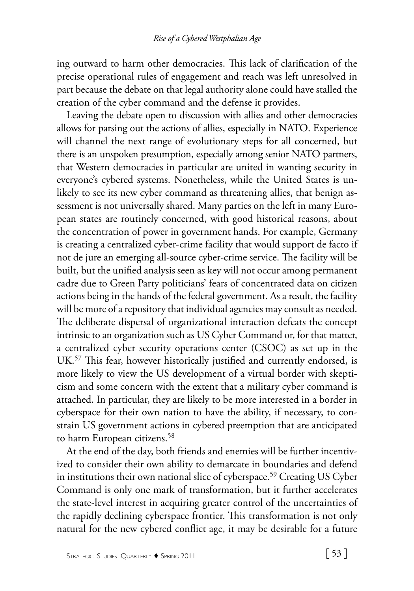ing outward to harm other democracies. This lack of clarification of the precise operational rules of engagement and reach was left unresolved in part because the debate on that legal authority alone could have stalled the creation of the cyber command and the defense it provides.

Leaving the debate open to discussion with allies and other democracies allows for parsing out the actions of allies, especially in NATO. Experience will channel the next range of evolutionary steps for all concerned, but there is an unspoken presumption, especially among senior NATO partners, that Western democracies in particular are united in wanting security in everyone's cybered systems. Nonetheless, while the United States is unlikely to see its new cyber command as threatening allies, that benign assessment is not universally shared. Many parties on the left in many European states are routinely concerned, with good historical reasons, about the concentration of power in government hands. For example, Germany is creating a centralized cyber-crime facility that would support de facto if not de jure an emerging all-source cyber-crime service. The facility will be built, but the unified analysis seen as key will not occur among permanent cadre due to Green Party politicians' fears of concentrated data on citizen actions being in the hands of the federal government. As a result, the facility will be more of a repository that individual agencies may consult as needed. The deliberate dispersal of organizational interaction defeats the concept intrinsic to an organization such as US Cyber Command or, for that matter, a centralized cyber security operations center (CSOC) as set up in the UK.57 This fear, however historically justified and currently endorsed, is more likely to view the US development of a virtual border with skepticism and some concern with the extent that a military cyber command is attached. In particular, they are likely to be more interested in a border in cyberspace for their own nation to have the ability, if necessary, to constrain US government actions in cybered preemption that are anticipated to harm European citizens.<sup>58</sup>

At the end of the day, both friends and enemies will be further incentivized to consider their own ability to demarcate in boundaries and defend in institutions their own national slice of cyberspace.<sup>59</sup> Creating US Cyber Command is only one mark of transformation, but it further accelerates the state-level interest in acquiring greater control of the uncertainties of the rapidly declining cyberspace frontier. This transformation is not only natural for the new cybered conflict age, it may be desirable for a future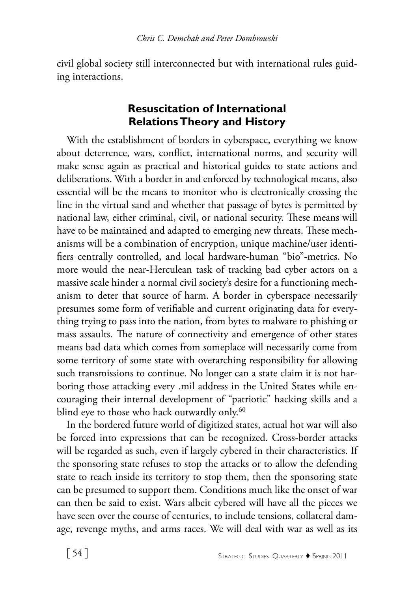civil global society still interconnected but with international rules guiding interactions.

### **Resuscitation of International Relations Theory and History**

With the establishment of borders in cyberspace, everything we know about deterrence, wars, conflict, international norms, and security will make sense again as practical and historical guides to state actions and deliberations. With a border in and enforced by technological means, also essential will be the means to monitor who is electronically crossing the line in the virtual sand and whether that passage of bytes is permitted by national law, either criminal, civil, or national security. These means will have to be maintained and adapted to emerging new threats. These mechanisms will be a combination of encryption, unique machine/user identifiers centrally controlled, and local hardware-human "bio"-metrics. No more would the near-Herculean task of tracking bad cyber actors on a massive scale hinder a normal civil society's desire for a functioning mechanism to deter that source of harm. A border in cyberspace necessarily presumes some form of verifiable and current originating data for everything trying to pass into the nation, from bytes to malware to phishing or mass assaults. The nature of connectivity and emergence of other states means bad data which comes from someplace will necessarily come from some territory of some state with overarching responsibility for allowing such transmissions to continue. No longer can a state claim it is not harboring those attacking every .mil address in the United States while encouraging their internal development of "patriotic" hacking skills and a blind eye to those who hack outwardly only.<sup>60</sup>

In the bordered future world of digitized states, actual hot war will also be forced into expressions that can be recognized. Cross-border attacks will be regarded as such, even if largely cybered in their characteristics. If the sponsoring state refuses to stop the attacks or to allow the defending state to reach inside its territory to stop them, then the sponsoring state can be presumed to support them. Conditions much like the onset of war can then be said to exist. Wars albeit cybered will have all the pieces we have seen over the course of centuries, to include tensions, collateral damage, revenge myths, and arms races. We will deal with war as well as its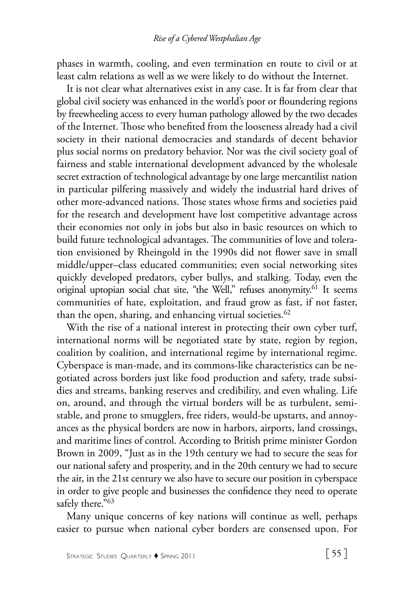phases in warmth, cooling, and even termination en route to civil or at least calm relations as well as we were likely to do without the Internet.

It is not clear what alternatives exist in any case. It is far from clear that global civil society was enhanced in the world's poor or floundering regions by freewheeling access to every human pathology allowed by the two decades of the Internet. Those who benefited from the looseness already had a civil society in their national democracies and standards of decent behavior plus social norms on predatory behavior. Nor was the civil society goal of fairness and stable international development advanced by the wholesale secret extraction of technological advantage by one large mercantilist nation in particular pilfering massively and widely the industrial hard drives of other more-advanced nations. Those states whose firms and societies paid for the research and development have lost competitive advantage across their economies not only in jobs but also in basic resources on which to build future technological advantages. The communities of love and toleration envisioned by Rheingold in the 1990s did not flower save in small middle/upper–class educated communities; even social networking sites quickly developed predators, cyber bullys, and stalking. Today, even the original uptopian social chat site, "the Well," refuses anonymity.<sup>61</sup> It seems communities of hate, exploitation, and fraud grow as fast, if not faster, than the open, sharing, and enhancing virtual societies.<sup>62</sup>

With the rise of a national interest in protecting their own cyber turf, international norms will be negotiated state by state, region by region, coalition by coalition, and international regime by international regime. Cyberspace is man-made, and its commons-like characteristics can be negotiated across borders just like food production and safety, trade subsidies and streams, banking reserves and credibility, and even whaling. Life on, around, and through the virtual borders will be as turbulent, semistable, and prone to smugglers, free riders, would-be upstarts, and annoyances as the physical borders are now in harbors, airports, land crossings, and maritime lines of control. According to British prime minister Gordon Brown in 2009, "Just as in the 19th century we had to secure the seas for our national safety and prosperity, and in the 20th century we had to secure the air, in the 21st century we also have to secure our position in cyberspace in order to give people and businesses the confidence they need to operate safely there."<sup>63</sup>

Many unique concerns of key nations will continue as well, perhaps easier to pursue when national cyber borders are consensed upon. For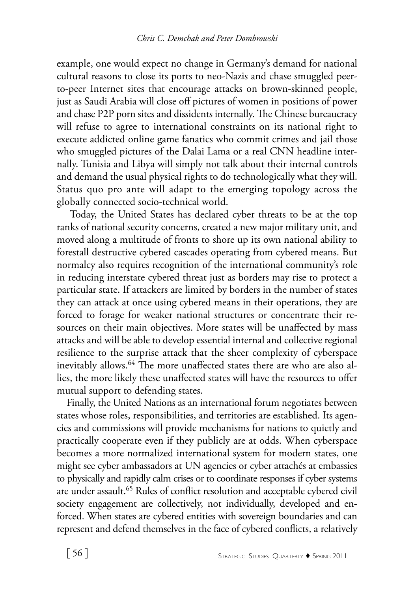example, one would expect no change in Germany's demand for national cultural reasons to close its ports to neo-Nazis and chase smuggled peerto-peer Internet sites that encourage attacks on brown-skinned people, just as Saudi Arabia will close off pictures of women in positions of power and chase P2P porn sites and dissidents internally. The Chinese bureaucracy will refuse to agree to international constraints on its national right to execute addicted online game fanatics who commit crimes and jail those who smuggled pictures of the Dalai Lama or a real CNN headline internally. Tunisia and Libya will simply not talk about their internal controls and demand the usual physical rights to do technologically what they will. Status quo pro ante will adapt to the emerging topology across the globally connected socio-technical world.

 Today, the United States has declared cyber threats to be at the top ranks of national security concerns, created a new major military unit, and moved along a multitude of fronts to shore up its own national ability to forestall destructive cybered cascades operating from cybered means. But normalcy also requires recognition of the international community's role in reducing interstate cybered threat just as borders may rise to protect a particular state. If attackers are limited by borders in the number of states they can attack at once using cybered means in their operations, they are forced to forage for weaker national structures or concentrate their resources on their main objectives. More states will be unaffected by mass attacks and will be able to develop essential internal and collective regional resilience to the surprise attack that the sheer complexity of cyberspace inevitably allows.64 The more unaffected states there are who are also allies, the more likely these unaffected states will have the resources to offer mutual support to defending states.

Finally, the United Nations as an international forum negotiates between states whose roles, responsibilities, and territories are established. Its agencies and commissions will provide mechanisms for nations to quietly and practically cooperate even if they publicly are at odds. When cyberspace becomes a more normalized international system for modern states, one might see cyber ambassadors at UN agencies or cyber attachés at embassies to physically and rapidly calm crises or to coordinate responses if cyber systems are under assault.<sup>65</sup> Rules of conflict resolution and acceptable cybered civil society engagement are collectively, not individually, developed and enforced. When states are cybered entities with sovereign boundaries and can represent and defend themselves in the face of cybered conflicts, a relatively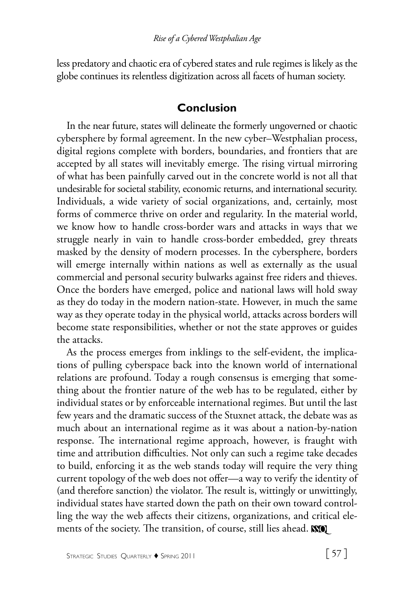less predatory and chaotic era of cybered states and rule regimes is likely as the globe continues its relentless digitization across all facets of human society.

#### **Conclusion**

In the near future, states will delineate the formerly ungoverned or chaotic cybersphere by formal agreement. In the new cyber–Westphalian process, digital regions complete with borders, boundaries, and frontiers that are accepted by all states will inevitably emerge. The rising virtual mirroring of what has been painfully carved out in the concrete world is not all that undesirable for societal stability, economic returns, and international security. Individuals, a wide variety of social organizations, and, certainly, most forms of commerce thrive on order and regularity. In the material world, we know how to handle cross-border wars and attacks in ways that we struggle nearly in vain to handle cross-border embedded, grey threats masked by the density of modern processes. In the cybersphere, borders will emerge internally within nations as well as externally as the usual commercial and personal security bulwarks against free riders and thieves. Once the borders have emerged, police and national laws will hold sway as they do today in the modern nation-state. However, in much the same way as they operate today in the physical world, attacks across borders will become state responsibilities, whether or not the state approves or guides the attacks.

As the process emerges from inklings to the self-evident, the implications of pulling cyberspace back into the known world of international relations are profound. Today a rough consensus is emerging that something about the frontier nature of the web has to be regulated, either by individual states or by enforceable international regimes. But until the last few years and the dramatic success of the Stuxnet attack, the debate was as much about an international regime as it was about a nation-by-nation response. The international regime approach, however, is fraught with time and attribution difficulties. Not only can such a regime take decades to build, enforcing it as the web stands today will require the very thing current topology of the web does not offer—a way to verify the identity of (and therefore sanction) the violator. The result is, wittingly or unwittingly, individual states have started down the path on their own toward controlling the way the web affects their citizens, organizations, and critical elements of the society. The transition, of course, still lies ahead. **NO**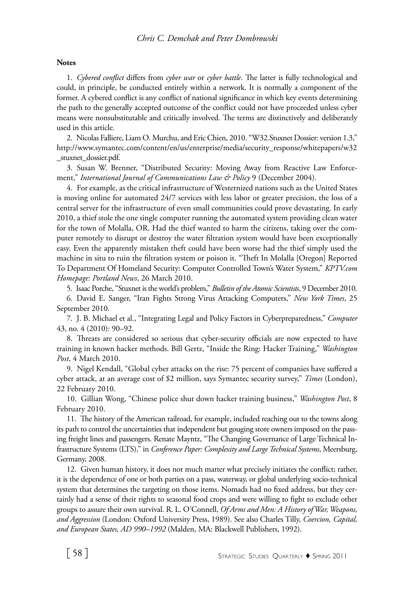#### **Notes**

1. *Cybered conflict* differs from *cyber war* or *cyber battle*. The latter is fully technological and could, in principle, be conducted entirely within a network. It is normally a component of the former. A cybered conflict is any conflict of national significance in which key events determining the path to the generally accepted outcome of the conflict could not have proceeded unless cyber means were nonsubstitutable and critically involved. The terms are distinctively and deliberately used in this article.

2. Nicolas Falliere, Liam O. Murchu, and Eric Chien, 2010. "W32.Stuxnet Dossier: version 1.3," http://www.symantec.com/content/en/us/enterprise/media/security\_response/whitepapers/w32 \_stuxnet\_dossier.pdf.

3. Susan W. Brenner, "Distributed Security: Moving Away from Reactive Law Enforcement," *International Journal of Communications Law & Policy* 9 (December 2004).

4. For example, as the critical infrastructure of Westernized nations such as the United States is moving online for automated 24/7 services with less labor or greater precision, the loss of a central server for the infrastructure of even small communities could prove devastating. In early 2010, a thief stole the one single computer running the automated system providing clean water for the town of Molalla, OR. Had the thief wanted to harm the citizens, taking over the computer remotely to disrupt or destroy the water filtration system would have been exceptionally easy. Even the apparently mistaken theft could have been worse had the thief simply used the machine in situ to ruin the filtration system or poison it. "Theft In Molalla [Oregon] Reported To Department Of Homeland Security: Computer Controlled Town's Water System," *KPTV.com Homepage: Portland News*, 26 March 2010.

5. Isaac Porche, "Stuxnet is the world's problem," *Bulletin of the Atomic Scientists*, 9 December 2010.

6. David E. Sanger, "Iran Fights Strong Virus Attacking Computers," *New York Times*, 25 September 2010.

7. J. B. Michael et al., "Integrating Legal and Policy Factors in Cyberpreparedness," *Computer*  43, no. 4 (2010): 90–92.

8. Threats are considered so serious that cyber-security officials are now expected to have training in known hacker methods. Bill Gertz, "Inside the Ring: Hacker Training," *Washington Post*, 4 March 2010.

9. Nigel Kendall, "Global cyber attacks on the rise: 75 percent of companies have suffered a cyber attack, at an average cost of \$2 million, says Symantec security survey," *Times* (London), 22 February 2010.

10. Gillian Wong, "Chinese police shut down hacker training business," *Washington Post*, 8 February 2010.

11. The history of the American railroad, for example, included reaching out to the towns along its path to control the uncertainties that independent but gouging store owners imposed on the passing freight lines and passengers. Renate Mayntz, "The Changing Governance of Large Technical Infrastructure Systems (LTS)," in *Conference Paper: Complexity and Large Technical Systems*, Meersburg, Germany, 2008.

12. Given human history, it does not much matter what precisely initiates the conflict; rather, it is the dependence of one or both parties on a pass, waterway, or global underlying socio-technical system that determines the targeting on those items. Nomads had no fixed address, but they certainly had a sense of their rights to seasonal food crops and were willing to fight to exclude other groups to assure their own survival. R. L. O'Connell, *Of Arms and Men: A History of War, Weapons, and Aggression* (London: Oxford University Press, 1989). See also Charles Tilly, *Coercion, Capital, and European States, AD 990–1992* (Malden, MA: Blackwell Publishers, 1992).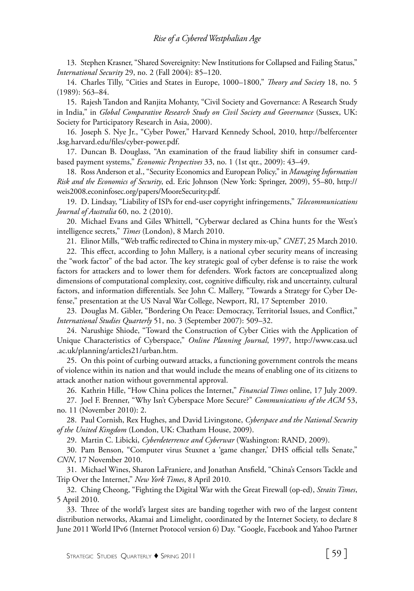13. Stephen Krasner, "Shared Sovereignity: New Institutions for Collapsed and Failing Status," *International Security* 29, no. 2 (Fall 2004): 85–120.

14. Charles Tilly, "Cities and States in Europe, 1000–1800," *Theory and Society* 18, no. 5 (1989): 563–84.

15. Rajesh Tandon and Ranjita Mohanty, "Civil Society and Governance: A Research Study in India," in *Global Comparative Research Study on Civil Society and Governance* (Sussex, UK: Society for Participatory Research in Asia, 2000).

16. Joseph S. Nye Jr., "Cyber Power," Harvard Kennedy School, 2010, http://belfercenter .ksg.harvard.edu/files/cyber-power.pdf.

17. Duncan B. Douglass, "An examination of the fraud liability shift in consumer cardbased payment systems," *Economic Perspectives* 33, no. 1 (1st qtr., 2009): 43–49.

18. Ross Anderson et al., "Security Economics and European Policy," in *Managing Information Risk and the Economics of Security*, ed. Eric Johnson (New York: Springer, 2009), 55–80, http:// weis2008.econinfosec.org/papers/MooreSecurity.pdf.

19. D. Lindsay, "Liability of ISPs for end-user copyright infringements," *Telecommunications Journal of Australia* 60, no. 2 (2010).

20. Michael Evans and Giles Whittell, "Cyberwar declared as China hunts for the West's intelligence secrets," *Times* (London), 8 March 2010.

21. Elinor Mills, "Web traffic redirected to China in mystery mix-up," *CNET*, 25 March 2010.

22. This effect, according to John Mallery, is a national cyber security means of increasing the "work factor" of the bad actor. The key strategic goal of cyber defense is to raise the work factors for attackers and to lower them for defenders. Work factors are conceptualized along dimensions of computational complexity, cost, cognitive difficulty, risk and uncertainty, cultural factors, and information differentials. See John C. Mallery, "Towards a Strategy for Cyber Defense," presentation at the US Naval War College, Newport, RI, 17 September 2010.

23. Douglas M. Gibler, "Bordering On Peace: Democracy, Territorial Issues, and Conflict," *International Studies Quarterly* 51, no. 3 (September 2007): 509–32.

24. Narushige Shiode, "Toward the Construction of Cyber Cities with the Application of Unique Characteristics of Cyberspace," *Online Planning Journal*, 1997, http://www.casa.ucl .ac.uk/planning/articles21/urban.htm.

25. On this point of curbing outward attacks, a functioning government controls the means of violence within its nation and that would include the means of enabling one of its citizens to attack another nation without governmental approval.

26. Kathrin Hille, "How China polices the Internet," *Financial Times* online, 17 July 2009.

27. Joel F. Brenner, "Why Isn't Cyberspace More Secure?" *Communications of the ACM* 53, no. 11 (November 2010): 2.

28. Paul Cornish, Rex Hughes, and David Livingstone, *Cyberspace and the National Security of the United Kingdom* (London, UK: Chatham House, 2009).

29. Martin C. Libicki, *Cyberdeterrence and Cyberwar* (Washington: RAND, 2009).

30. Pam Benson, "Computer virus Stuxnet a 'game changer,' DHS official tells Senate," *CNN*, 17 November 2010.

31. Michael Wines, Sharon LaFraniere, and Jonathan Ansfield, "China's Censors Tackle and Trip Over the Internet," *New York Times*, 8 April 2010.

32. Ching Cheong, "Fighting the Digital War with the Great Firewall (op-ed), *Straits Times*, 5 April 2010.

33. Three of the world's largest sites are banding together with two of the largest content distribution networks, Akamai and Limelight, coordinated by the Internet Society, to declare 8 June 2011 World IPv6 (Internet Protocol version 6) Day. "Google, Facebook and Yahoo Partner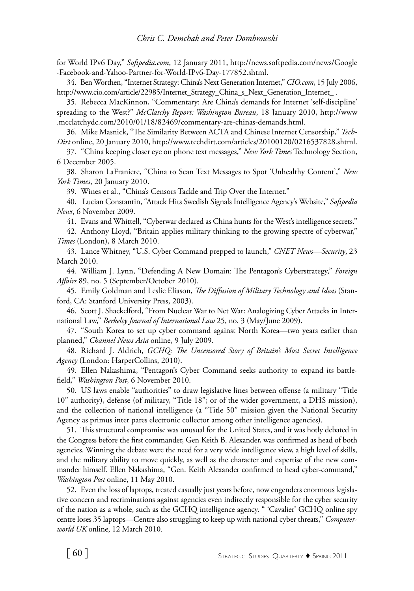for World IPv6 Day," *Softpedia.com*, 12 January 2011, http://news.softpedia.com/news/Google -Facebook-and-Yahoo-Partner-for-World-IPv6-Day-177852.shtml.

34. Ben Worthen, "Internet Strategy: China's Next Generation Internet," *CIO.com*, 15 July 2006, http://www.cio.com/article/22985/Internet\_Strategy\_China\_s\_Next\_Generation\_Internet\_ .

35. Rebecca MacKinnon, "Commentary: Are China's demands for Internet 'self-discipline' spreading to the West?" *McClatchy Report: Washington Bureau*, 18 January 2010, http://www .mcclatchydc.com/2010/01/18/82469/commentary-are-chinas-demands.html.

36. Mike Masnick, "The Similarity Between ACTA and Chinese Internet Censorship," *Tech-Dirt* online, 20 January 2010, http://www.techdirt.com/articles/20100120/0216537828.shtml.

37. "China keeping closer eye on phone text messages," *New York Times* Technology Section, 6 December 2005.

38. Sharon LaFraniere, "China to Scan Text Messages to Spot 'Unhealthy Content'," *New York Times*, 20 January 2010.

39. Wines et al., "China's Censors Tackle and Trip Over the Internet."

40. Lucian Constantin, "Attack Hits Swedish Signals Intelligence Agency's Website," *Softpedia News*, 6 November 2009.

41. Evans and Whittell, "Cyberwar declared as China hunts for the West's intelligence secrets."

42. Anthony Lloyd, "Britain applies military thinking to the growing spectre of cyberwar," *Times* (London), 8 March 2010.

43. Lance Whitney, "U.S. Cyber Command prepped to launch," *CNET News—Security*, 23 March 2010.

44. William J. Lynn, "Defending A New Domain: The Pentagon's Cyberstrategy," *Foreign*  Affairs 89, no. 5 (September/October 2010).

45. Emily Goldman and Leslie Eliason, *The Diffusion of Military Technology and Ideas* (Stanford, CA: Stanford University Press, 2003).

46. Scott J. Shackelford, "From Nuclear War to Net War: Analogizing Cyber Attacks in International Law," *Berkeley Journal of International Law* 25, no. 3 (May/June 2009).

47. "South Korea to set up cyber command against North Korea—two years earlier than planned," *Channel News Asia* online, 9 July 2009.

48. Richard J. Aldrich, *GCHQ: The Uncensored Story of Britain's Most Secret Intelligence Agency* (London: HarperCollins, 2010).

49. Ellen Nakashima, "Pentagon's Cyber Command seeks authority to expand its battlefield," *Washington Post*, 6 November 2010.

50. US laws enable "authorities" to draw legislative lines between offense (a military "Title 10" authority), defense (of military, "Title 18"; or of the wider government, a DHS mission), and the collection of national intelligence (a "Title 50" mission given the National Security Agency as primus inter pares electronic collector among other intelligence agencies).

51. This structural compromise was unusual for the United States, and it was hotly debated in the Congress before the first commander, Gen Keith B. Alexander, was confirmed as head of both agencies. Winning the debate were the need for a very wide intelligence view, a high level of skills, and the military ability to move quickly, as well as the character and expertise of the new commander himself. Ellen Nakashima, "Gen. Keith Alexander confirmed to head cyber-command," *Washington Post* online, 11 May 2010.

52. Even the loss of laptops, treated casually just years before, now engenders enormous legislative concern and recriminations against agencies even indirectly responsible for the cyber security of the nation as a whole, such as the GCHQ intelligence agency. " 'Cavalier' GCHQ online spy centre loses 35 laptops—Centre also struggling to keep up with national cyber threats," *Computerworld UK* online, 12 March 2010.